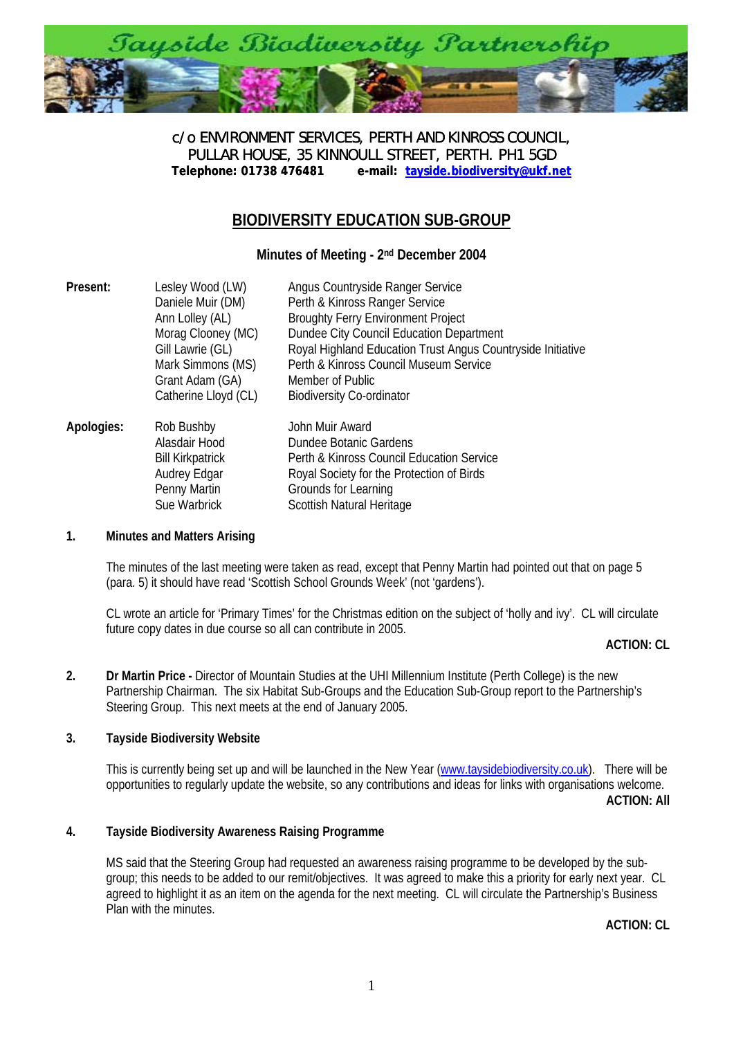

c/o ENVIRONMENT SERVICES, PERTH AND KINROSS COUNCIL, PULLAR HOUSE, 35 KINNOULL STREET, PERTH. PH1 5GD<br>Telephone: 01738 476481 e-mail: tayside.biodiversity@ukf.n **[Telephone: 01738 476481 e-mail: tayside.biodiversity@ukf.net](mailto:tayside.biodiversity@ukf.net)**

# **BIODIVERSITY EDUCATION SUB-GROUP**

**Minutes of Meeting - 2nd December 2004** 

| Present:   | Lesley Wood (LW)<br>Daniele Muir (DM)<br>Ann Lolley (AL)<br>Morag Clooney (MC)<br>Gill Lawrie (GL)<br>Mark Simmons (MS)<br>Grant Adam (GA)<br>Catherine Lloyd (CL) | Angus Countryside Ranger Service<br>Perth & Kinross Ranger Service<br><b>Broughty Ferry Environment Project</b><br>Dundee City Council Education Department<br>Royal Highland Education Trust Angus Countryside Initiative<br>Perth & Kinross Council Museum Service<br>Member of Public<br><b>Biodiversity Co-ordinator</b> |
|------------|--------------------------------------------------------------------------------------------------------------------------------------------------------------------|------------------------------------------------------------------------------------------------------------------------------------------------------------------------------------------------------------------------------------------------------------------------------------------------------------------------------|
| Apologies: | Rob Bushby<br>Alasdair Hood<br><b>Bill Kirkpatrick</b><br>Audrey Edgar<br>Penny Martin<br>Sue Warbrick                                                             | John Muir Award<br>Dundee Botanic Gardens<br>Perth & Kinross Council Education Service<br>Royal Society for the Protection of Birds<br>Grounds for Learning<br>Scottish Natural Heritage                                                                                                                                     |

#### **1. Minutes and Matters Arising**

The minutes of the last meeting were taken as read, except that Penny Martin had pointed out that on page 5 (para. 5) it should have read 'Scottish School Grounds Week' (not 'gardens').

CL wrote an article for 'Primary Times' for the Christmas edition on the subject of 'holly and ivy'. CL will circulate future copy dates in due course so all can contribute in 2005.

# **ACTION: CL**

**2. Dr Martin Price -** Director of Mountain Studies at the UHI Millennium Institute (Perth College) is the new Partnership Chairman. The six Habitat Sub-Groups and the Education Sub-Group report to the Partnership's Steering Group. This next meets at the end of January 2005.

# **3. Tayside Biodiversity Website**

This is currently being set up and will be launched in the New Year ([www.taysidebiodiversity.co.uk](http://www.taysidebiodiversity.co.uk/)). There will be opportunities to regularly update the website, so any contributions and ideas for links with organisations welcome.

**ACTION: All** 

# **4. Tayside Biodiversity Awareness Raising Programme**

MS said that the Steering Group had requested an awareness raising programme to be developed by the subgroup; this needs to be added to our remit/objectives. It was agreed to make this a priority for early next year. CL agreed to highlight it as an item on the agenda for the next meeting. CL will circulate the Partnership's Business Plan with the minutes.

**ACTION: CL**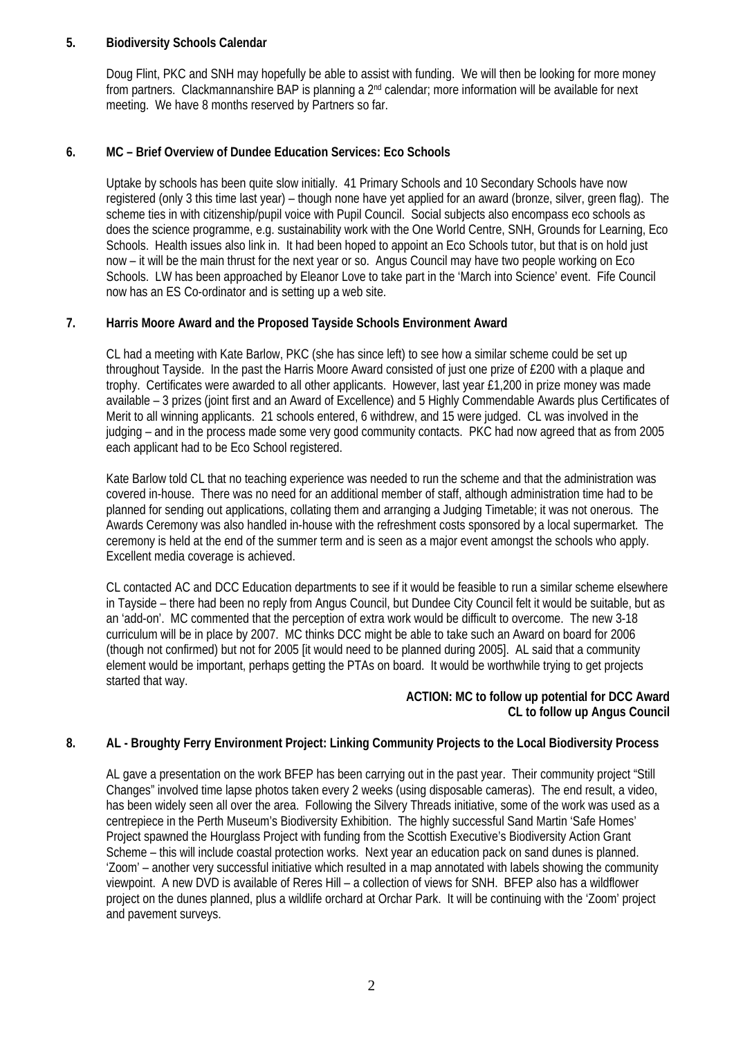### **5. Biodiversity Schools Calendar**

Doug Flint, PKC and SNH may hopefully be able to assist with funding. We will then be looking for more money from partners. Clackmannanshire BAP is planning a 2nd calendar; more information will be available for next meeting. We have 8 months reserved by Partners so far.

### **6. MC – Brief Overview of Dundee Education Services: Eco Schools**

Uptake by schools has been quite slow initially. 41 Primary Schools and 10 Secondary Schools have now registered (only 3 this time last year) – though none have yet applied for an award (bronze, silver, green flag). The scheme ties in with citizenship/pupil voice with Pupil Council. Social subjects also encompass eco schools as does the science programme, e.g. sustainability work with the One World Centre, SNH, Grounds for Learning, Eco Schools. Health issues also link in. It had been hoped to appoint an Eco Schools tutor, but that is on hold just now – it will be the main thrust for the next year or so. Angus Council may have two people working on Eco Schools. LW has been approached by Eleanor Love to take part in the 'March into Science' event. Fife Council now has an ES Co-ordinator and is setting up a web site.

### **7. Harris Moore Award and the Proposed Tayside Schools Environment Award**

CL had a meeting with Kate Barlow, PKC (she has since left) to see how a similar scheme could be set up throughout Tayside. In the past the Harris Moore Award consisted of just one prize of £200 with a plaque and trophy. Certificates were awarded to all other applicants. However, last year £1,200 in prize money was made available – 3 prizes (joint first and an Award of Excellence) and 5 Highly Commendable Awards plus Certificates of Merit to all winning applicants. 21 schools entered, 6 withdrew, and 15 were judged. CL was involved in the judging – and in the process made some very good community contacts. PKC had now agreed that as from 2005 each applicant had to be Eco School registered.

Kate Barlow told CL that no teaching experience was needed to run the scheme and that the administration was covered in-house. There was no need for an additional member of staff, although administration time had to be planned for sending out applications, collating them and arranging a Judging Timetable; it was not onerous. The Awards Ceremony was also handled in-house with the refreshment costs sponsored by a local supermarket. The ceremony is held at the end of the summer term and is seen as a major event amongst the schools who apply. Excellent media coverage is achieved.

CL contacted AC and DCC Education departments to see if it would be feasible to run a similar scheme elsewhere in Tayside – there had been no reply from Angus Council, but Dundee City Council felt it would be suitable, but as an 'add-on'. MC commented that the perception of extra work would be difficult to overcome. The new 3-18 curriculum will be in place by 2007. MC thinks DCC might be able to take such an Award on board for 2006 (though not confirmed) but not for 2005 [it would need to be planned during 2005]. AL said that a community element would be important, perhaps getting the PTAs on board. It would be worthwhile trying to get projects started that way.

# **ACTION: MC to follow up potential for DCC Award CL to follow up Angus Council**

# **8. AL - Broughty Ferry Environment Project: Linking Community Projects to the Local Biodiversity Process**

AL gave a presentation on the work BFEP has been carrying out in the past year. Their community project "Still Changes" involved time lapse photos taken every 2 weeks (using disposable cameras). The end result, a video, has been widely seen all over the area. Following the Silvery Threads initiative, some of the work was used as a centrepiece in the Perth Museum's Biodiversity Exhibition. The highly successful Sand Martin 'Safe Homes' Project spawned the Hourglass Project with funding from the Scottish Executive's Biodiversity Action Grant Scheme – this will include coastal protection works. Next year an education pack on sand dunes is planned. 'Zoom' – another very successful initiative which resulted in a map annotated with labels showing the community viewpoint. A new DVD is available of Reres Hill – a collection of views for SNH. BFEP also has a wildflower project on the dunes planned, plus a wildlife orchard at Orchar Park. It will be continuing with the 'Zoom' project and pavement surveys.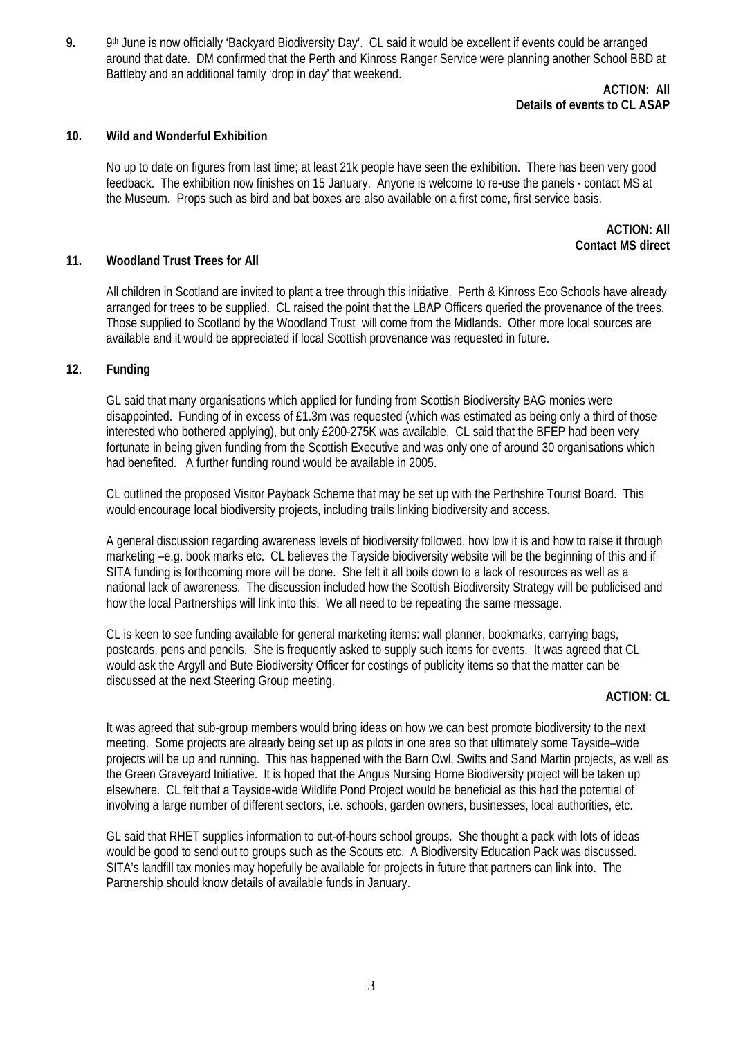**9.** 9th June is now officially 'Backyard Biodiversity Day'. CL said it would be excellent if events could be arranged around that date. DM confirmed that the Perth and Kinross Ranger Service were planning another School BBD at Battleby and an additional family 'drop in day' that weekend.

> **ACTION: All Details of events to CL ASAP**

#### **10. Wild and Wonderful Exhibition**

No up to date on figures from last time; at least 21k people have seen the exhibition. There has been very good feedback. The exhibition now finishes on 15 January. Anyone is welcome to re-use the panels - contact MS at the Museum. Props such as bird and bat boxes are also available on a first come, first service basis.

> **ACTION: All Contact MS direct**

#### **11. Woodland Trust Trees for All**

All children in Scotland are invited to plant a tree through this initiative. Perth & Kinross Eco Schools have already arranged for trees to be supplied. CL raised the point that the LBAP Officers queried the provenance of the trees. Those supplied to Scotland by the Woodland Trust will come from the Midlands. Other more local sources are available and it would be appreciated if local Scottish provenance was requested in future.

#### **12. Funding**

GL said that many organisations which applied for funding from Scottish Biodiversity BAG monies were disappointed. Funding of in excess of £1.3m was requested (which was estimated as being only a third of those interested who bothered applying), but only £200-275K was available. CL said that the BFEP had been very fortunate in being given funding from the Scottish Executive and was only one of around 30 organisations which had benefited. A further funding round would be available in 2005.

CL outlined the proposed Visitor Payback Scheme that may be set up with the Perthshire Tourist Board. This would encourage local biodiversity projects, including trails linking biodiversity and access.

A general discussion regarding awareness levels of biodiversity followed, how low it is and how to raise it through marketing –e.g. book marks etc. CL believes the Tayside biodiversity website will be the beginning of this and if SITA funding is forthcoming more will be done. She felt it all boils down to a lack of resources as well as a national lack of awareness. The discussion included how the Scottish Biodiversity Strategy will be publicised and how the local Partnerships will link into this. We all need to be repeating the same message.

CL is keen to see funding available for general marketing items: wall planner, bookmarks, carrying bags, postcards, pens and pencils. She is frequently asked to supply such items for events. It was agreed that CL would ask the Argyll and Bute Biodiversity Officer for costings of publicity items so that the matter can be discussed at the next Steering Group meeting.

### **ACTION: CL**

It was agreed that sub-group members would bring ideas on how we can best promote biodiversity to the next meeting. Some projects are already being set up as pilots in one area so that ultimately some Tayside–wide projects will be up and running. This has happened with the Barn Owl, Swifts and Sand Martin projects, as well as the Green Graveyard Initiative. It is hoped that the Angus Nursing Home Biodiversity project will be taken up elsewhere. CL felt that a Tayside-wide Wildlife Pond Project would be beneficial as this had the potential of involving a large number of different sectors, i.e. schools, garden owners, businesses, local authorities, etc.

GL said that RHET supplies information to out-of-hours school groups. She thought a pack with lots of ideas would be good to send out to groups such as the Scouts etc. A Biodiversity Education Pack was discussed. SITA's landfill tax monies may hopefully be available for projects in future that partners can link into. The Partnership should know details of available funds in January.